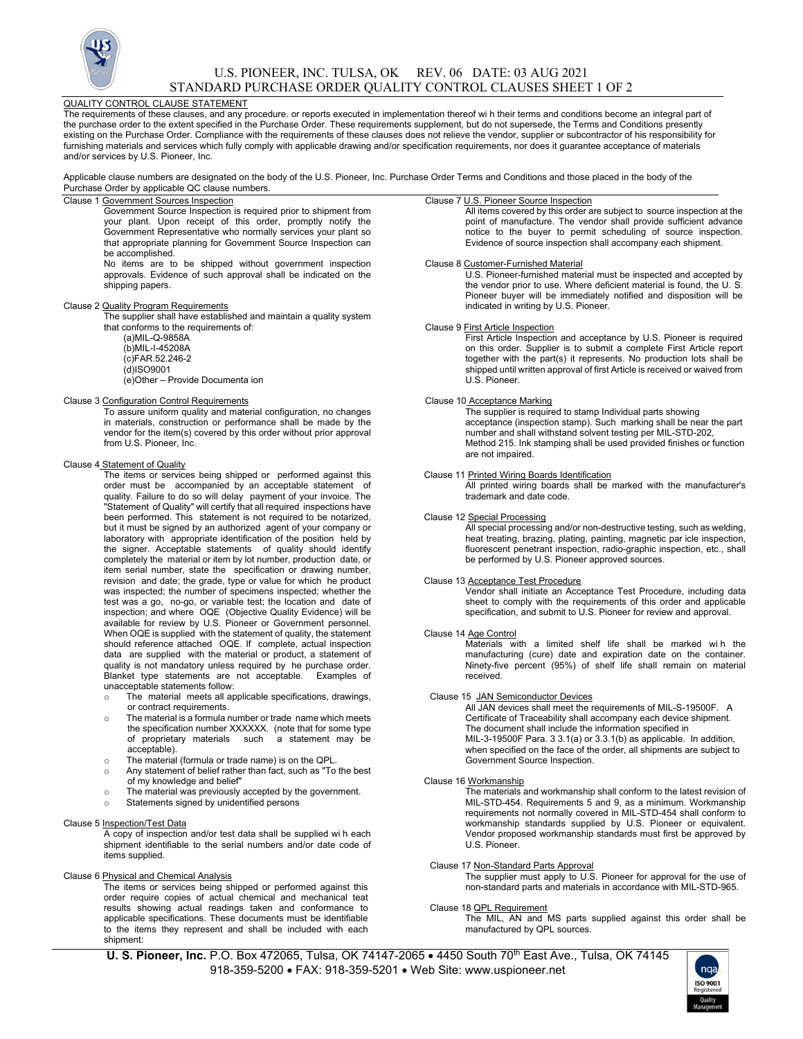

# U.S. PIONEER, INC. TULSA, OK REV. 06 DATE: 03 AUG 2021 STANDARD PURCHASE ORDER QUALITY CONTROL CLAUSES SHEET 1 OF 2

### QUALITY CONTROL CLAUSE STATEMENT

The requirements of these clauses, and any procedure. or reports executed in implementation thereof wi h their terms and conditions become an integral part of the purchase order to the extent specified in the Purchase Order. These requirements supplement, but do not supersede, the Terms and Conditions presently existing on the Purchase Order. Compliance with the requirements of these clauses does not relieve the vendor, supplier or subcontractor of his responsibility for furnishing materials and services which fully comply with applicable drawing and/or specification requirements, nor does it guarantee acceptance of materials and/or services by U.S. Pioneer, Inc.

Applicable clause numbers are designated on the body of the U.S. Pioneer, Inc. Purchase Order Terms and Conditions and those placed in the body of the Purchase Order by applicable QC clause numbers.

# Clause 1 Government Sources Inspection

Government Source Inspection is required prior to shipment from your plant. Upon receipt of this order, promptly notify the Government Representative who normally services your plant so that appropriate planning for Government Source Inspection can be accomplished.

No items are to be shipped without government inspection approvals. Evidence of such approval shall be indicated on the shipping papers.

#### Clause 2 Quality Program Requirements

The supplier shall have established and maintain a quality system that conforms to the requirements of:

(a)MIL-Q-9858A (b)MIL-I-45208A

(c)FAR.52.246-2 (d)ISO9001

(e)Other – Provide Documenta ion

#### Clause 3 Configuration Control Requirements

To assure uniform quality and material configuration, no changes in materials, construction or performance shall be made by the vendor for the item(s) covered by this order without prior approval from U.S. Pioneer, Inc.

#### Clause 4 Statement of Quality

The items or services being shipped or performed against this order must be accompanied by an acceptable statement of quality. Failure to do so will delay payment of your invoice. The "Statement of Quality" will certify that all required inspections have been performed. This statement is not required to be notarized, but it must be signed by an authorized agent of your company or laboratory with appropriate identification of the position held by the signer. Acceptable statements of quality should identify completely the material or item by lot number, production date, or item serial number, state the specification or drawing number, revision and date; the grade, type or value for which he product was inspected; the number of specimens inspected; whether the test was a go, no-go, or variable test; the location and date of inspection; and where OQE (Objective Quality Evidence) will be available for review by U.S. Pioneer or Government personnel. When OQE is supplied with the statement of quality, the statement should reference attached OQE. If complete, actual inspection data are supplied with the material or product, a statement of quality is not mandatory unless required by he purchase order. Blanket type statements are not acceptable. Examples of unacceptable statements follow:

- The material meets all applicable specifications, drawings, or contract requirements.
- o The material is a formula number or trade name which meets the specification number XXXXXX. (note that for some type of proprietary materials such a statement may be acceptable).
- o The material (formula or trade name) is on the QPL.
- o Any statement of belief rather than fact, such as "To the best of my knowledge and belief"
- o The material was previously accepted by the government. Statements signed by unidentified persons

# Clause 5 Inspection/Test Data

A copy of inspection and/or test data shall be supplied wi h each shipment identifiable to the serial numbers and/or date code of items supplied.

Clause 6 Physical and Chemical Analysis

The items or services being shipped or performed against this order require copies of actual chemical and mechanical teat results showing actual readings taken and conformance to applicable specifications. These documents must be identifiable to the items they represent and shall be included with each shipment:

#### Clause 7 U.S. Pioneer Source Inspection

All items covered by this order are subject to source inspection at the point of manufacture. The vendor shall provide sufficient advance notice to the buyer to permit scheduling of source inspection. Evidence of source inspection shall accompany each shipment.

#### Clause 8 Customer-Furnished Material

U.S. Pioneer-furnished material must be inspected and accepted by the vendor prior to use. Where deficient material is found, the U. S. Pioneer buyer will be immediately notified and disposition will be indicated in writing by U.S. Pioneer.

#### Clause 9 First Article Inspection

First Article Inspection and acceptance by U.S. Pioneer is required on this order. Supplier is to submit a complete First Article report together with the part(s) it represents. No production lots shall be shipped until written approval of first Article is received or waived from U.S. Pioneer.

#### Clause 10 Acceptance Marking

The supplier is required to stamp Individual parts showing acceptance (inspection stamp). Such marking shall be near the part number and shall withstand solvent testing per MIL-STD-202, Method 215. Ink stamping shall be used provided finishes or function are not impaired.

### Clause 11 Printed Wiring Boards Identification

All printed wiring boards shall be marked with the manufacturer's trademark and date code.

# Clause 12 Special Processing

All special processing and/or non-destructive testing, such as welding, heat treating, brazing, plating, painting, magnetic par icle inspection, fluorescent penetrant inspection, radio-graphic inspection, etc., shall be performed by U.S. Pioneer approved sources.

### Clause 13 Acceptance Test Procedure

Vendor shall initiate an Acceptance Test Procedure, including data sheet to comply with the requirements of this order and applicable specification, and submit to U.S. Pioneer for review and approval.

#### Clause 14 Age Control

Materials with a limited shelf life shall be marked wih the manufacturing (cure) date and expiration date on the container. Ninety-five percent (95%) of shelf life shall remain on material received.

#### Clause 15 JAN Semiconductor Devices

All JAN devices shall meet the requirements of MIL-S-19500F. A Certificate of Traceability shall accompany each device shipment. The document shall include the information specified in MIL-3-19500F Para. 3 3.1(a) or 3.3.1(b) as applicable. In addition, when specified on the face of the order, all shipments are subject to Government Source Inspection.

### Clause 16 Workmanship

The materials and workmanship shall conform to the latest revision of MIL-STD-454. Requirements 5 and 9, as a minimum. Workmanship requirements not normally covered in MIL-STD-454 shall conform to workmanship standards supplied by U.S. Pioneer or equivalent. Vendor proposed workmanship standards must first be approved by U.S. Pioneer.

# Clause 17 Non-Standard Parts Approval

The supplier must apply to U.S. Pioneer for approval for the use of non-standard parts and materials in accordance with MIL-STD-965.

# Clause 18 QPL Requirement

The MIL, AN and MS parts supplied against this order shall be manufactured by QPL sources.

**U. S. Pioneer, Inc.** P.O. Box 472065, Tulsa, OK 74147-2065 . 4450 South 70<sup>th</sup> East Ave., Tulsa, OK 74145 918-359-5200 FAX: 918-359-5201 Web Site: www.uspioneer.net